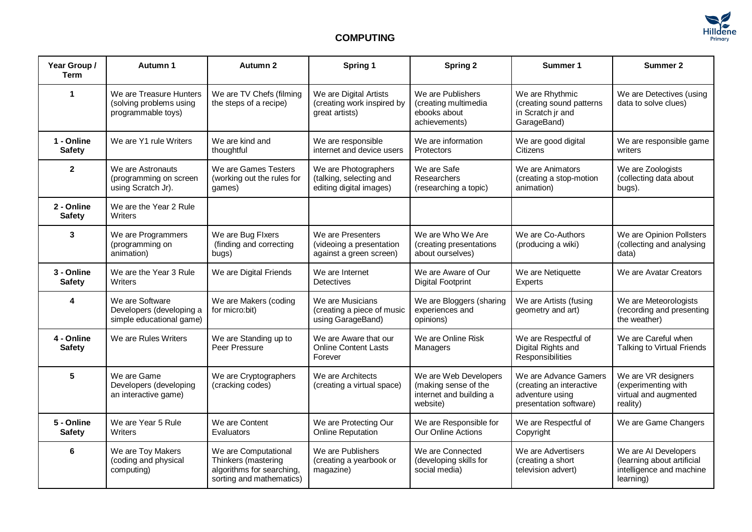

## **COMPUTING**

| Year Group /<br><b>Term</b> | Autumn 1                                                                 | Autumn 2                                                                                             | Spring 1                                                                   | <b>Spring 2</b>                                                                      | Summer 1                                                                                       | Summer 2                                                                                    |
|-----------------------------|--------------------------------------------------------------------------|------------------------------------------------------------------------------------------------------|----------------------------------------------------------------------------|--------------------------------------------------------------------------------------|------------------------------------------------------------------------------------------------|---------------------------------------------------------------------------------------------|
| 1                           | We are Treasure Hunters<br>(solving problems using<br>programmable toys) | We are TV Chefs (filming<br>the steps of a recipe)                                                   | We are Digital Artists<br>(creating work inspired by<br>great artists)     | We are Publishers<br>(creating multimedia<br>ebooks about<br>achievements)           | We are Rhythmic<br>(creating sound patterns<br>in Scratch jr and<br>GarageBand)                | We are Detectives (using<br>data to solve clues)                                            |
| 1 - Online<br><b>Safety</b> | We are Y1 rule Writers                                                   | We are kind and<br>thoughtful                                                                        | We are responsible<br>internet and device users                            | We are information<br><b>Protectors</b>                                              | We are good digital<br><b>Citizens</b>                                                         | We are responsible game<br>writers                                                          |
| $\mathbf{2}$                | We are Astronauts<br>(programming on screen<br>using Scratch Jr).        | We are Games Testers<br>(working out the rules for<br>games)                                         | We are Photographers<br>(talking, selecting and<br>editing digital images) | We are Safe<br>Researchers<br>(researching a topic)                                  | We are Animators<br>(creating a stop-motion<br>animation)                                      | We are Zoologists<br>(collecting data about<br>bugs).                                       |
| 2 - Online<br><b>Safety</b> | We are the Year 2 Rule<br>Writers                                        |                                                                                                      |                                                                            |                                                                                      |                                                                                                |                                                                                             |
| 3                           | We are Programmers<br>(programming on<br>animation)                      | We are Bug Flxers<br>(finding and correcting<br>bugs)                                                | We are Presenters<br>(videoing a presentation<br>against a green screen)   | We are Who We Are<br>(creating presentations<br>about ourselves)                     | We are Co-Authors<br>(producing a wiki)                                                        | We are Opinion Pollsters<br>(collecting and analysing<br>data)                              |
| 3 - Online<br><b>Safety</b> | We are the Year 3 Rule<br>Writers                                        | We are Digital Friends                                                                               | We are Internet<br><b>Detectives</b>                                       | We are Aware of Our<br><b>Digital Footprint</b>                                      | We are Netiquette<br>Experts                                                                   | We are Avatar Creators                                                                      |
| 4                           | We are Software<br>Developers (developing a<br>simple educational game)  | We are Makers (coding<br>for micro:bit)                                                              | We are Musicians<br>(creating a piece of music<br>using GarageBand)        | We are Bloggers (sharing<br>experiences and<br>opinions)                             | We are Artists (fusing<br>geometry and art)                                                    | We are Meteorologists<br>(recording and presenting<br>the weather)                          |
| 4 - Online<br><b>Safety</b> | We are Rules Writers                                                     | We are Standing up to<br>Peer Pressure                                                               | We are Aware that our<br><b>Online Content Lasts</b><br>Forever            | We are Online Risk<br>Managers                                                       | We are Respectful of<br>Digital Rights and<br>Responsibilities                                 | We are Careful when<br>Talking to Virtual Friends                                           |
| 5                           | We are Game<br>Developers (developing<br>an interactive game)            | We are Cryptographers<br>(cracking codes)                                                            | We are Architects<br>(creating a virtual space)                            | We are Web Developers<br>(making sense of the<br>internet and building a<br>website) | We are Advance Gamers<br>(creating an interactive<br>adventure using<br>presentation software) | We are VR designers<br>(experimenting with<br>virtual and augmented<br>reality)             |
| 5 - Online<br><b>Safety</b> | We are Year 5 Rule<br>Writers                                            | We are Content<br>Evaluators                                                                         | We are Protecting Our<br>Online Reputation                                 | We are Responsible for<br>Our Online Actions                                         | We are Respectful of<br>Copyright                                                              | We are Game Changers                                                                        |
| 6                           | We are Toy Makers<br>(coding and physical<br>computing)                  | We are Computational<br>Thinkers (mastering<br>algorithms for searching,<br>sorting and mathematics) | We are Publishers<br>(creating a yearbook or<br>magazine)                  | We are Connected<br>(developing skills for<br>social media)                          | We are Advertisers<br>(creating a short<br>television advert)                                  | We are AI Developers<br>(learning about artificial<br>intelligence and machine<br>learning) |